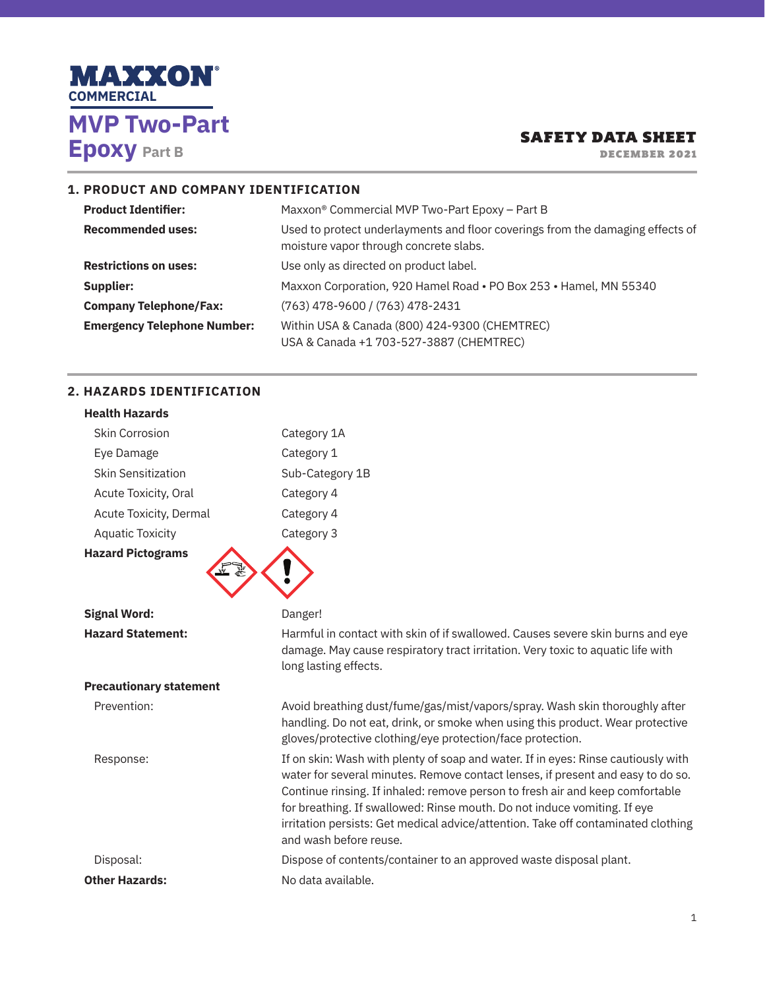

DECEMBER 2021

### **1. PRODUCT AND COMPANY IDENTIFICATION**

| <b>Product Identifier:</b>         | Maxxon <sup>®</sup> Commercial MVP Two-Part Epoxy – Part B                                                               |  |  |
|------------------------------------|--------------------------------------------------------------------------------------------------------------------------|--|--|
| <b>Recommended uses:</b>           | Used to protect underlayments and floor coverings from the damaging effects of<br>moisture vapor through concrete slabs. |  |  |
| <b>Restrictions on uses:</b>       | Use only as directed on product label.                                                                                   |  |  |
| Supplier:                          | Maxxon Corporation, 920 Hamel Road . PO Box 253 . Hamel, MN 55340                                                        |  |  |
| <b>Company Telephone/Fax:</b>      | (763) 478-9600 / (763) 478-2431                                                                                          |  |  |
| <b>Emergency Telephone Number:</b> | Within USA & Canada (800) 424-9300 (CHEMTREC)<br>USA & Canada +1 703-527-3887 (CHEMTREC)                                 |  |  |

# **2. HAZARDS IDENTIFICATION**

| <b>Health Hazards</b>          |                                                                                                                                                                                                                                                                                                                                                                                                                                                  |
|--------------------------------|--------------------------------------------------------------------------------------------------------------------------------------------------------------------------------------------------------------------------------------------------------------------------------------------------------------------------------------------------------------------------------------------------------------------------------------------------|
| <b>Skin Corrosion</b>          | Category 1A                                                                                                                                                                                                                                                                                                                                                                                                                                      |
| Eye Damage                     | Category 1                                                                                                                                                                                                                                                                                                                                                                                                                                       |
| <b>Skin Sensitization</b>      | Sub-Category 1B                                                                                                                                                                                                                                                                                                                                                                                                                                  |
| Acute Toxicity, Oral           | Category 4                                                                                                                                                                                                                                                                                                                                                                                                                                       |
| Acute Toxicity, Dermal         | Category 4                                                                                                                                                                                                                                                                                                                                                                                                                                       |
| <b>Aquatic Toxicity</b>        | Category 3                                                                                                                                                                                                                                                                                                                                                                                                                                       |
| <b>Hazard Pictograms</b>       |                                                                                                                                                                                                                                                                                                                                                                                                                                                  |
| <b>Signal Word:</b>            | Danger!                                                                                                                                                                                                                                                                                                                                                                                                                                          |
| <b>Hazard Statement:</b>       | Harmful in contact with skin of if swallowed. Causes severe skin burns and eye<br>damage. May cause respiratory tract irritation. Very toxic to aquatic life with<br>long lasting effects.                                                                                                                                                                                                                                                       |
| <b>Precautionary statement</b> |                                                                                                                                                                                                                                                                                                                                                                                                                                                  |
| Prevention:                    | Avoid breathing dust/fume/gas/mist/vapors/spray. Wash skin thoroughly after<br>handling. Do not eat, drink, or smoke when using this product. Wear protective<br>gloves/protective clothing/eye protection/face protection.                                                                                                                                                                                                                      |
| Response:                      | If on skin: Wash with plenty of soap and water. If in eyes: Rinse cautiously with<br>water for several minutes. Remove contact lenses, if present and easy to do so.<br>Continue rinsing. If inhaled: remove person to fresh air and keep comfortable<br>for breathing. If swallowed: Rinse mouth. Do not induce vomiting. If eye<br>irritation persists: Get medical advice/attention. Take off contaminated clothing<br>and wash before reuse. |
| Disposal:                      | Dispose of contents/container to an approved waste disposal plant.                                                                                                                                                                                                                                                                                                                                                                               |
| <b>Other Hazards:</b>          | No data available.                                                                                                                                                                                                                                                                                                                                                                                                                               |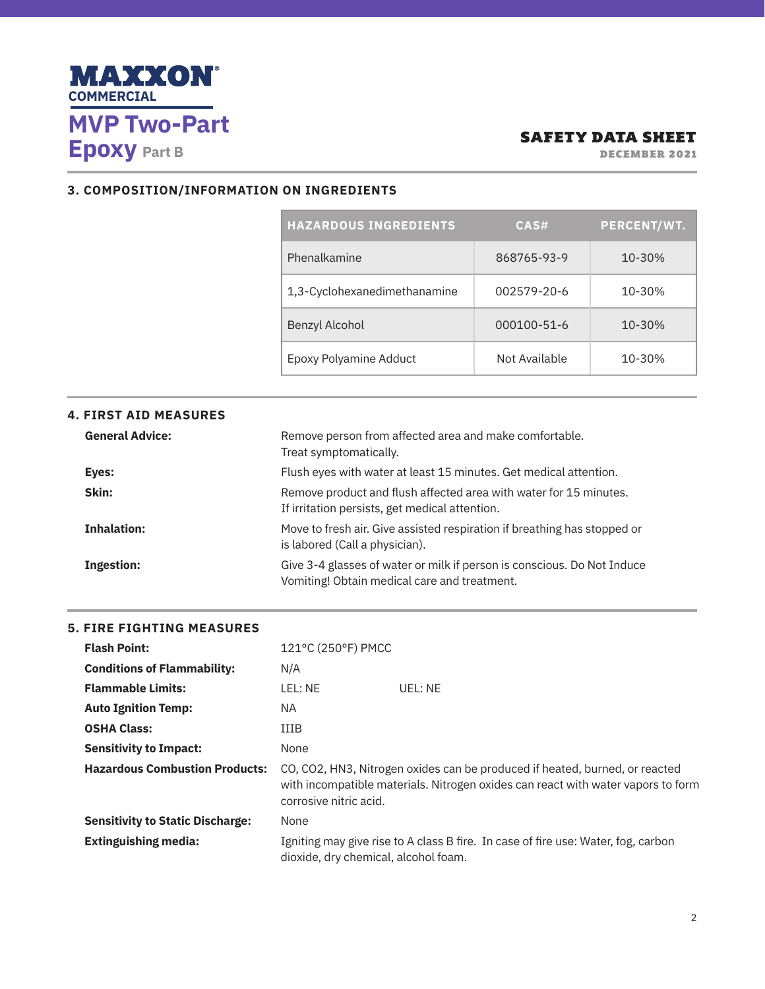

DECEMBER 2021

### **3. COMPOSITION/INFORMATION ON INGREDIENTS**

| <b>HAZARDOUS INGREDIENTS</b> | CAS#          | <b>PERCENT/WT.</b> |
|------------------------------|---------------|--------------------|
| Phenalkamine                 | 868765-93-9   | 10-30%             |
| 1,3-Cyclohexanedimethanamine | 002579-20-6   | 10-30%             |
| Benzyl Alcohol               | 000100-51-6   | 10-30%             |
| Epoxy Polyamine Adduct       | Not Available | 10-30%             |

| <b>4. FIRST AID MEASURES</b> |                                                                                                                         |
|------------------------------|-------------------------------------------------------------------------------------------------------------------------|
| <b>General Advice:</b>       | Remove person from affected area and make comfortable.<br>Treat symptomatically.                                        |
| Eyes:                        | Flush eyes with water at least 15 minutes. Get medical attention.                                                       |
| Skin:                        | Remove product and flush affected area with water for 15 minutes.<br>If irritation persists, get medical attention.     |
| <b>Inhalation:</b>           | Move to fresh air. Give assisted respiration if breathing has stopped or<br>is labored (Call a physician).              |
| <b>Ingestion:</b>            | Give 3-4 glasses of water or milk if person is conscious. Do Not Induce<br>Vomiting! Obtain medical care and treatment. |

# **5. FIRE FIGHTING MEASURES**

| <b>Flash Point:</b>                     | 121°C (250°F) PMCC                                                                                                                                                                        |                                                                                   |  |
|-----------------------------------------|-------------------------------------------------------------------------------------------------------------------------------------------------------------------------------------------|-----------------------------------------------------------------------------------|--|
| <b>Conditions of Flammability:</b>      | N/A                                                                                                                                                                                       |                                                                                   |  |
| <b>Flammable Limits:</b>                | LEL: NE                                                                                                                                                                                   | UFI : NF                                                                          |  |
| <b>Auto Ignition Temp:</b>              | NA.                                                                                                                                                                                       |                                                                                   |  |
| <b>OSHA Class:</b>                      | IIIB                                                                                                                                                                                      |                                                                                   |  |
| <b>Sensitivity to Impact:</b>           | None                                                                                                                                                                                      |                                                                                   |  |
| <b>Hazardous Combustion Products:</b>   | CO, CO2, HN3, Nitrogen oxides can be produced if heated, burned, or reacted<br>with incompatible materials. Nitrogen oxides can react with water vapors to form<br>corrosive nitric acid. |                                                                                   |  |
| <b>Sensitivity to Static Discharge:</b> | None                                                                                                                                                                                      |                                                                                   |  |
| <b>Extinguishing media:</b>             | dioxide, dry chemical, alcohol foam.                                                                                                                                                      | Igniting may give rise to A class B fire. In case of fire use: Water, fog, carbon |  |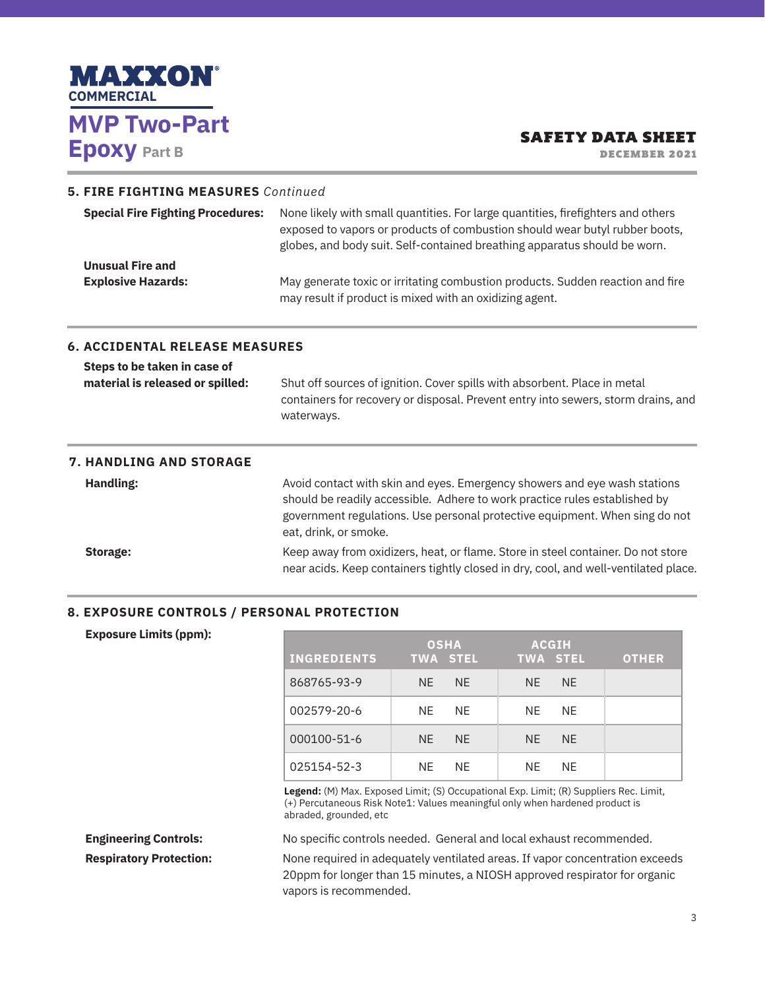

DECEMBER 2021

#### **5. FIRE FIGHTING MEASURES** *Continued*

| <b>Special Fire Fighting Procedures:</b> | None likely with small quantities. For large quantities, fire fighters and others<br>exposed to vapors or products of combustion should wear butyl rubber boots,<br>globes, and body suit. Self-contained breathing apparatus should be worn. |
|------------------------------------------|-----------------------------------------------------------------------------------------------------------------------------------------------------------------------------------------------------------------------------------------------|
| <b>Unusual Fire and</b>                  |                                                                                                                                                                                                                                               |
| <b>Explosive Hazards:</b>                | May generate toxic or irritating combustion products. Sudden reaction and fire<br>may result if product is mixed with an oxidizing agent.                                                                                                     |

#### **6. ACCIDENTAL RELEASE MEASURES**

| Steps to be taken in case of     |                                                                                   |
|----------------------------------|-----------------------------------------------------------------------------------|
| material is released or spilled: | Shut off sources of ignition. Cover spills with absorbent. Place in metal         |
|                                  | containers for recovery or disposal. Prevent entry into sewers, storm drains, and |
|                                  | waterways.                                                                        |

# **7. HANDLING AND STORAGE Handling: Avoid contact with skin and eyes. Emergency showers and eye wash stations** should be readily accessible. Adhere to work practice rules established by government regulations. Use personal protective equipment. When sing do not eat, drink, or smoke. **Storage: Keep away from oxidizers, heat, or flame. Store in steel container. Do not store** near acids. Keep containers tightly closed in dry, cool, and well-ventilated place.

#### **8. EXPOSURE CONTROLS / PERSONAL PROTECTION**

| <b>INGREDIENTS</b> | <b>OSHA</b><br><b>TWA STEL</b> |           | <b>TWA STEL</b> | <b>ACGIH</b> | <b>OTHER</b> |
|--------------------|--------------------------------|-----------|-----------------|--------------|--------------|
| 868765-93-9        | NF.                            | NF.       | NF.             | NF.          |              |
| 002579-20-6        | NF.                            | NF.       | NE.             | NF.          |              |
| 000100-51-6        | NF.                            | NF.       | NF.             | NF.          |              |
| 025154-52-3        | NF.                            | <b>NF</b> | NF.             | <b>NF</b>    |              |

**Legend:** (M) Max. Exposed Limit; (S) Occupational Exp. Limit; (R) Suppliers Rec. Limit, (+) Percutaneous Risk Note1: Values meaningful only when hardened product is abraded, grounded, etc

**Engineering Controls:** No specific controls needed. General and local exhaust recommended.

**Respiratory Protection:** None required in adequately ventilated areas. If vapor concentration exceeds 20ppm for longer than 15 minutes, a NIOSH approved respirator for organic vapors is recommended.

**Exposure Limits (ppm):**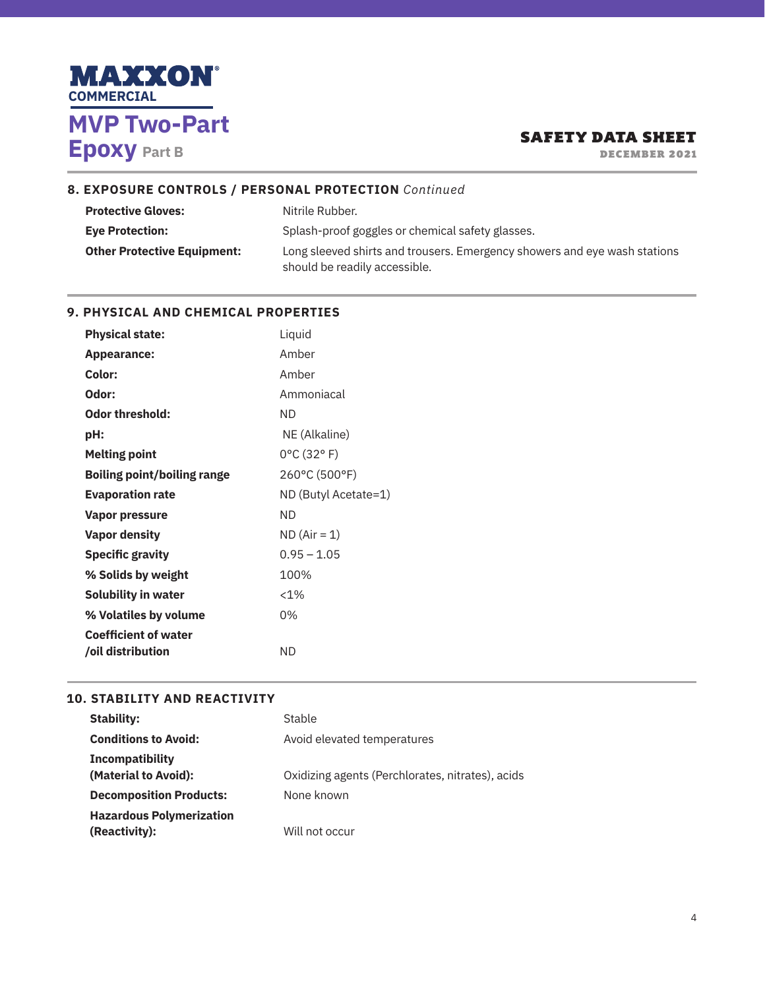

DECEMBER 2021

## **8. EXPOSURE CONTROLS / PERSONAL PROTECTION** *Continued*

| <b>Protective Gloves:</b>                                                  | Nitrile Rubber.                                                           |  |
|----------------------------------------------------------------------------|---------------------------------------------------------------------------|--|
| Splash-proof goggles or chemical safety glasses.<br><b>Eve Protection:</b> |                                                                           |  |
| <b>Other Protective Equipment:</b>                                         | Long sleeved shirts and trousers. Emergency showers and eye wash stations |  |
|                                                                            | should be readily accessible.                                             |  |

#### **9. PHYSICAL AND CHEMICAL PROPERTIES**

| <b>Physical state:</b>                              | Liquid                          |
|-----------------------------------------------------|---------------------------------|
| <b>Appearance:</b>                                  | Amber                           |
| Color:                                              | Amber                           |
| Odor:                                               | Ammoniacal                      |
| <b>Odor threshold:</b>                              | ND.                             |
| pH:                                                 | NE (Alkaline)                   |
| <b>Melting point</b>                                | $0^{\circ}$ C (32 $^{\circ}$ F) |
| 260°C (500°F)<br><b>Boiling point/boiling range</b> |                                 |
| <b>Evaporation rate</b>                             | ND (Butyl Acetate=1)            |
| <b>Vapor pressure</b>                               | ND.                             |
| <b>Vapor density</b>                                | $ND (Air = 1)$                  |
| <b>Specific gravity</b>                             | $0.95 - 1.05$                   |
| % Solids by weight                                  | 100%                            |
| <b>Solubility in water</b>                          | $< 1\%$                         |
| % Volatiles by volume                               | 0%                              |
| <b>Coefficient of water</b>                         |                                 |
| oil distribution                                    | <b>ND</b>                       |

#### **10. STABILITY AND REACTIVITY**

| Stability:                                       | Stable                                           |
|--------------------------------------------------|--------------------------------------------------|
| <b>Conditions to Avoid:</b>                      | Avoid elevated temperatures                      |
| <b>Incompatibility</b><br>(Material to Avoid):   | Oxidizing agents (Perchlorates, nitrates), acids |
| <b>Decomposition Products:</b>                   | None known                                       |
| <b>Hazardous Polymerization</b><br>(Reactivity): | Will not occur                                   |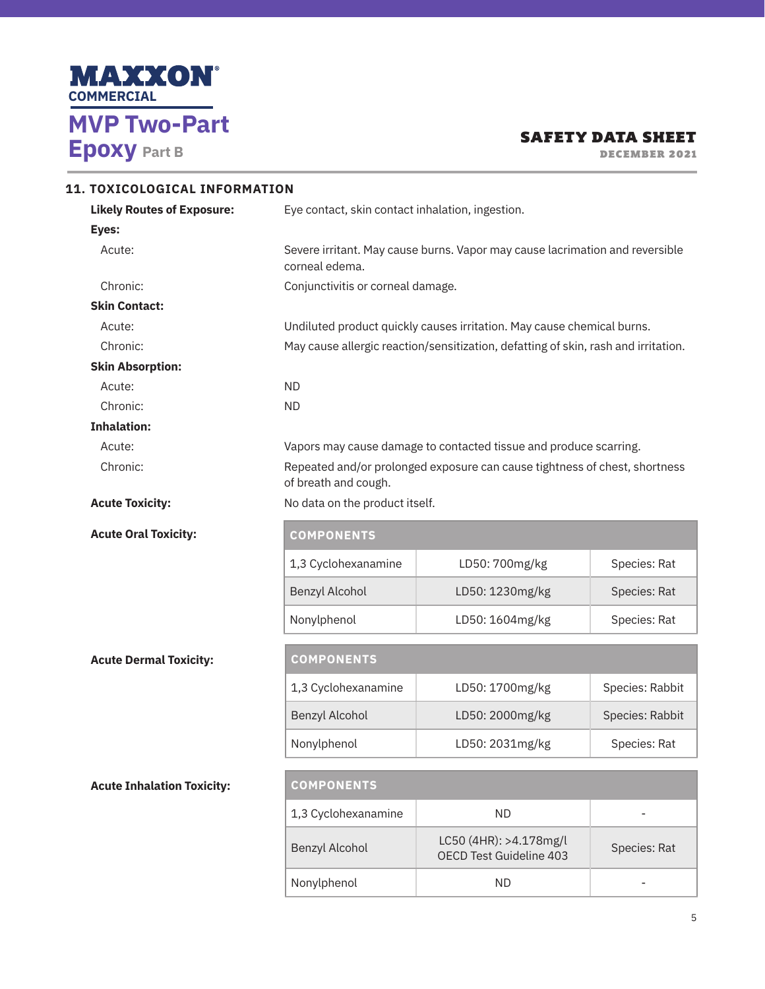

DECEMBER 2021

| 11. TOXICOLOGICAL INFORMATION     |                                                                                                                                      |                                                                                    |                 |  |  |
|-----------------------------------|--------------------------------------------------------------------------------------------------------------------------------------|------------------------------------------------------------------------------------|-----------------|--|--|
| <b>Likely Routes of Exposure:</b> | Eye contact, skin contact inhalation, ingestion.                                                                                     |                                                                                    |                 |  |  |
| Eyes:                             |                                                                                                                                      |                                                                                    |                 |  |  |
| Acute:                            | corneal edema.                                                                                                                       | Severe irritant. May cause burns. Vapor may cause lacrimation and reversible       |                 |  |  |
| Chronic:                          | Conjunctivitis or corneal damage.                                                                                                    |                                                                                    |                 |  |  |
| <b>Skin Contact:</b>              |                                                                                                                                      |                                                                                    |                 |  |  |
| Acute:                            |                                                                                                                                      | Undiluted product quickly causes irritation. May cause chemical burns.             |                 |  |  |
| Chronic:                          |                                                                                                                                      | May cause allergic reaction/sensitization, defatting of skin, rash and irritation. |                 |  |  |
| <b>Skin Absorption:</b>           |                                                                                                                                      |                                                                                    |                 |  |  |
| Acute:                            | <b>ND</b>                                                                                                                            |                                                                                    |                 |  |  |
| Chronic:                          | <b>ND</b>                                                                                                                            |                                                                                    |                 |  |  |
| <b>Inhalation:</b>                |                                                                                                                                      |                                                                                    |                 |  |  |
| Acute:                            |                                                                                                                                      | Vapors may cause damage to contacted tissue and produce scarring.                  |                 |  |  |
| Chronic:                          | Repeated and/or prolonged exposure can cause tightness of chest, shortness<br>of breath and cough.<br>No data on the product itself. |                                                                                    |                 |  |  |
| <b>Acute Toxicity:</b>            |                                                                                                                                      |                                                                                    |                 |  |  |
| <b>Acute Oral Toxicity:</b>       | <b>COMPONENTS</b>                                                                                                                    |                                                                                    |                 |  |  |
|                                   | 1,3 Cyclohexanamine                                                                                                                  | LD50: 700mg/kg                                                                     | Species: Rat    |  |  |
|                                   | Benzyl Alcohol                                                                                                                       | LD50: 1230mg/kg                                                                    | Species: Rat    |  |  |
|                                   | Nonylphenol                                                                                                                          | LD50: 1604mg/kg                                                                    | Species: Rat    |  |  |
| <b>Acute Dermal Toxicity:</b>     | <b>COMPONENTS</b>                                                                                                                    |                                                                                    |                 |  |  |
|                                   | 1,3 Cyclohexanamine                                                                                                                  | LD50: 1700mg/kg                                                                    | Species: Rabbit |  |  |
|                                   | Benzyl Alcohol                                                                                                                       | LD50: 2000mg/kg                                                                    | Species: Rabbit |  |  |
|                                   | Nonylphenol                                                                                                                          | LD50: 2031mg/kg                                                                    | Species: Rat    |  |  |
| <b>Acute Inhalation Toxicity:</b> |                                                                                                                                      |                                                                                    |                 |  |  |
|                                   |                                                                                                                                      |                                                                                    |                 |  |  |
|                                   | 1,3 Cyclohexanamine                                                                                                                  | <b>ND</b>                                                                          |                 |  |  |
|                                   | Benzyl Alcohol                                                                                                                       | LC50 (4HR): >4.178mg/l<br>OECD Test Guideline 403                                  | Species: Rat    |  |  |

Nonylphenol ND ND -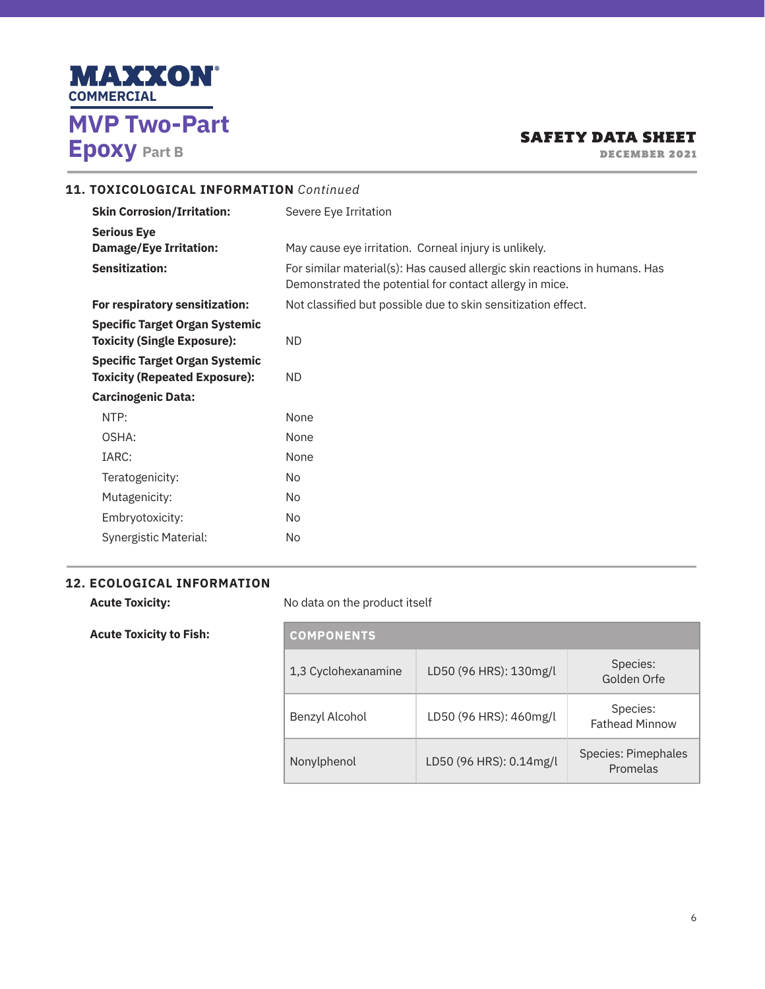

DECEMBER 2021

# **11. TOXICOLOGICAL INFORMATION** *Continued*

| <b>Skin Corrosion/Irritation:</b>                                           | Severe Eye Irritation                                                                                                                 |
|-----------------------------------------------------------------------------|---------------------------------------------------------------------------------------------------------------------------------------|
| <b>Serious Eye</b>                                                          |                                                                                                                                       |
| <b>Damage/Eye Irritation:</b>                                               | May cause eye irritation. Corneal injury is unlikely.                                                                                 |
| <b>Sensitization:</b>                                                       | For similar material(s): Has caused allergic skin reactions in humans. Has<br>Demonstrated the potential for contact allergy in mice. |
| For respiratory sensitization:                                              | Not classified but possible due to skin sensitization effect.                                                                         |
| <b>Specific Target Organ Systemic</b><br><b>Toxicity (Single Exposure):</b> | ND.                                                                                                                                   |
| <b>Specific Target Organ Systemic</b>                                       |                                                                                                                                       |
| <b>Toxicity (Repeated Exposure):</b>                                        | ND.                                                                                                                                   |
| <b>Carcinogenic Data:</b>                                                   |                                                                                                                                       |
| NTP:                                                                        | None                                                                                                                                  |
| OSHA:                                                                       | None                                                                                                                                  |
| IARC:                                                                       | None                                                                                                                                  |
| Teratogenicity:                                                             | No                                                                                                                                    |
| Mutagenicity:                                                               | No.                                                                                                                                   |
| Embryotoxicity:                                                             | No                                                                                                                                    |
| Synergistic Material:                                                       | No.                                                                                                                                   |

# **12. ECOLOGICAL INFORMATION**

| <b>Acute Toxicity:</b>         | No data on the product itself |                         |                                   |
|--------------------------------|-------------------------------|-------------------------|-----------------------------------|
| <b>Acute Toxicity to Fish:</b> | <b>COMPONENTS</b>             |                         |                                   |
|                                | 1,3 Cyclohexanamine           | LD50 (96 HRS): 130mg/l  | Species:<br>Golden Orfe           |
|                                | Benzyl Alcohol                | LD50 (96 HRS): 460mg/l  | Species:<br><b>Fathead Minnow</b> |
|                                | Nonylphenol                   | LD50 (96 HRS): 0.14mg/l | Species: Pimephales<br>Promelas   |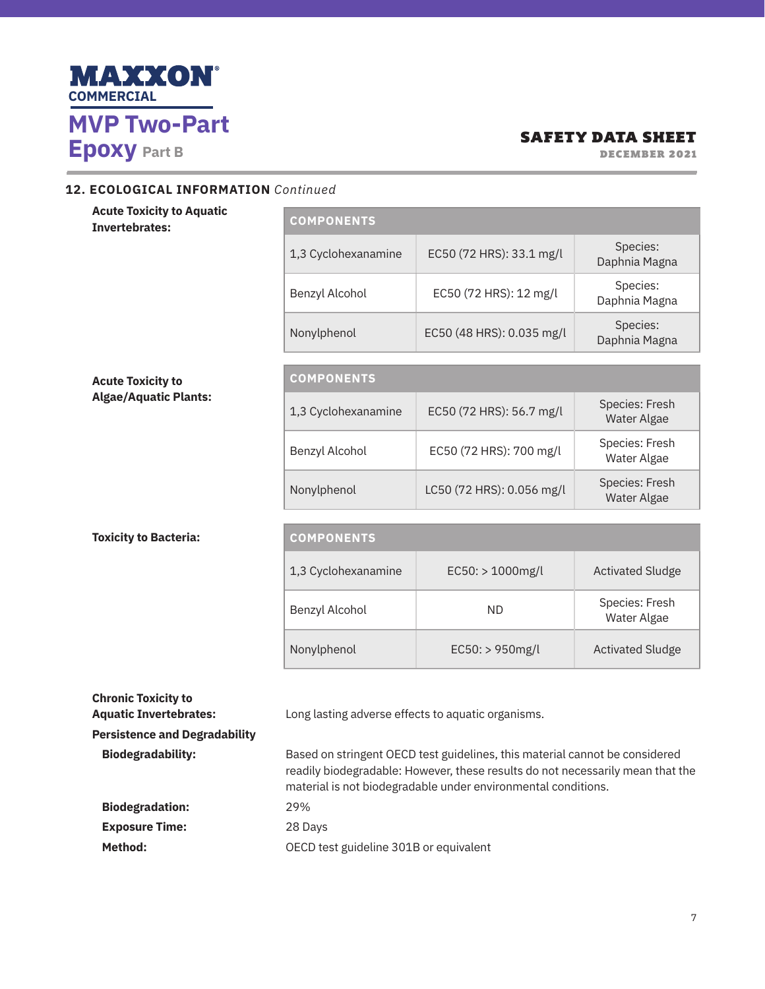

DECEMBER 2021

#### **12. ECOLOGICAL INFORMATION** *Continued*

| <b>Acute Toxicity to Aquatic</b><br><b>Invertebrates:</b> | <b>COMPONENTS</b>   |                           |                               |
|-----------------------------------------------------------|---------------------|---------------------------|-------------------------------|
|                                                           | 1,3 Cyclohexanamine | EC50 (72 HRS): 33.1 mg/l  | Species:<br>Daphnia Magna     |
|                                                           | Benzyl Alcohol      | EC50 (72 HRS): 12 mg/l    | Species:<br>Daphnia Magna     |
|                                                           | Nonylphenol         | EC50 (48 HRS): 0.035 mg/l | Species:<br>Daphnia Magna     |
|                                                           |                     |                           |                               |
| <b>Acute Toxicity to</b>                                  | <b>COMPONENTS</b>   |                           |                               |
| <b>Algae/Aquatic Plants:</b>                              | 1,3 Cyclohexanamine | EC50 (72 HRS): 56.7 mg/l  | Species: Fresh<br>Water Algae |
|                                                           | Benzyl Alcohol      | EC50 (72 HRS): 700 mg/l   | Species: Fresh<br>Water Algae |
|                                                           | Nonylphenol         | LC50 (72 HRS): 0.056 mg/l | Species: Fresh<br>Water Algae |
|                                                           |                     |                           |                               |
| <b>Toxicity to Bacteria:</b>                              | <b>COMPONENTS</b>   |                           |                               |
|                                                           | 1,3 Cyclohexanamine | $EC50:$ > 1000mg/l        | <b>Activated Sludge</b>       |
|                                                           | Benzyl Alcohol      | <b>ND</b>                 | Species: Fresh<br>Water Algae |
|                                                           | Nonylphenol         | EC50: > 950mg/l           | <b>Activated Sludge</b>       |
| <b>Chronic Toxicity to</b>                                |                     |                           |                               |

Aquatic Invertebrates: Long lasting adverse effects to aquatic organisms. **Persistence and Degradability Biodegradability:** Based on stringent OECD test guidelines, this material cannot be considered readily biodegradable: However, these results do not necessarily mean that the material is not biodegradable under environmental conditions. **Biodegradation:** 29% **Exposure Time:** 28 Days Method: **Method: OECD** test guideline 301B or equivalent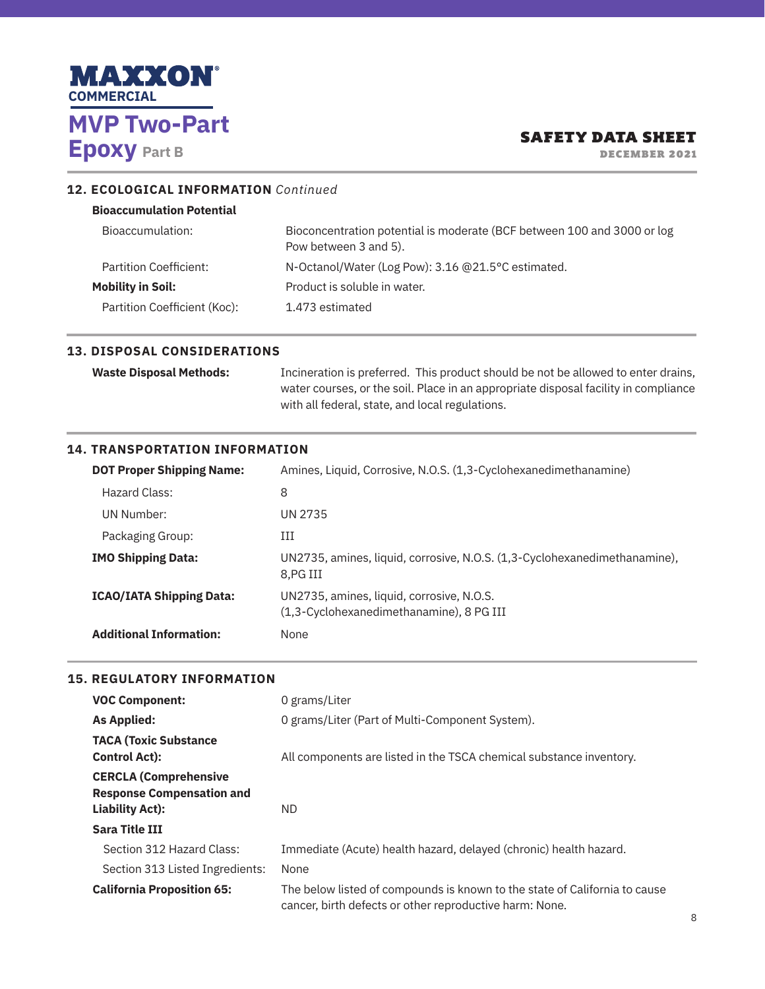

DECEMBER 2021

### **12. ECOLOGICAL INFORMATION** *Continued*

| <b>Bioaccumulation Potential</b> |                                                                                                  |
|----------------------------------|--------------------------------------------------------------------------------------------------|
| Bioaccumulation:                 | Bioconcentration potential is moderate (BCF between 100 and 3000 or log<br>Pow between 3 and 5). |
| Partition Coefficient:           | N-Octanol/Water (Log Pow): 3.16 @21.5°C estimated.                                               |
| <b>Mobility in Soil:</b>         | Product is soluble in water.                                                                     |
| Partition Coefficient (Koc):     | 1.473 estimated                                                                                  |
|                                  |                                                                                                  |

### **13. DISPOSAL CONSIDERATIONS**

**Waste Disposal Methods:** Incineration is preferred. This product should be not be allowed to enter drains, water courses, or the soil. Place in an appropriate disposal facility in compliance with all federal, state, and local regulations.

#### **14. TRANSPORTATION INFORMATION**

| <b>DOT Proper Shipping Name:</b> | Amines, Liquid, Corrosive, N.O.S. (1,3-Cyclohexanedimethanamine)                      |
|----------------------------------|---------------------------------------------------------------------------------------|
| Hazard Class:                    | 8                                                                                     |
| UN Number:                       | UN 2735                                                                               |
| Packaging Group:                 | Ш                                                                                     |
| <b>IMO Shipping Data:</b>        | UN2735, amines, liquid, corrosive, N.O.S. (1,3-Cyclohexanedimethanamine),<br>8.PG III |
| <b>ICAO/IATA Shipping Data:</b>  | UN2735, amines, liquid, corrosive, N.O.S.<br>(1,3-Cyclohexanedimethanamine), 8 PG III |
| <b>Additional Information:</b>   | None                                                                                  |

#### **15. REGULATORY INFORMATION**

| <b>VOC Component:</b>                                                                      | 0 grams/Liter                                                                                                                         |
|--------------------------------------------------------------------------------------------|---------------------------------------------------------------------------------------------------------------------------------------|
| <b>As Applied:</b>                                                                         | 0 grams/Liter (Part of Multi-Component System).                                                                                       |
| <b>TACA (Toxic Substance</b><br><b>Control Act):</b>                                       | All components are listed in the TSCA chemical substance inventory.                                                                   |
| <b>CERCLA (Comprehensive</b><br><b>Response Compensation and</b><br><b>Liability Act):</b> | ND.                                                                                                                                   |
| <b>Sara Title III</b>                                                                      |                                                                                                                                       |
| Section 312 Hazard Class:                                                                  | Immediate (Acute) health hazard, delayed (chronic) health hazard.                                                                     |
| Section 313 Listed Ingredients:                                                            | None                                                                                                                                  |
| <b>California Proposition 65:</b>                                                          | The below listed of compounds is known to the state of California to cause<br>cancer, birth defects or other reproductive harm: None. |